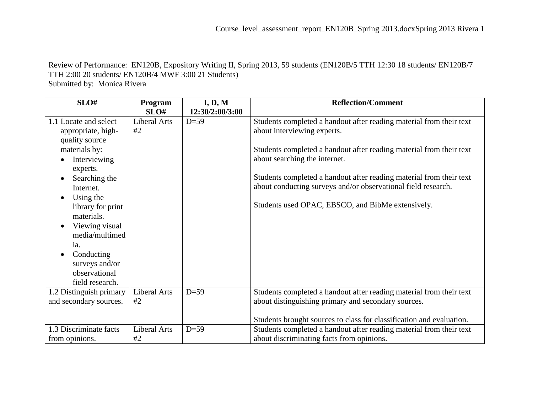Review of Performance: EN120B, Expository Writing II, Spring 2013, 59 students (EN120B/5 TTH 12:30 18 students/ EN120B/7 TTH 2:00 20 students/ EN120B/4 MWF 3:00 21 Students) Submitted by: Monica Rivera

| SLO#                        | Program             | I, D, M         | <b>Reflection/Comment</b>                                            |
|-----------------------------|---------------------|-----------------|----------------------------------------------------------------------|
|                             | SLO#                | 12:30/2:00/3:00 |                                                                      |
| 1.1 Locate and select       | <b>Liberal Arts</b> | $D=59$          | Students completed a handout after reading material from their text  |
| appropriate, high-          | #2                  |                 | about interviewing experts.                                          |
| quality source              |                     |                 |                                                                      |
| materials by:               |                     |                 | Students completed a handout after reading material from their text  |
| Interviewing                |                     |                 | about searching the internet.                                        |
| experts.                    |                     |                 |                                                                      |
| Searching the               |                     |                 | Students completed a handout after reading material from their text  |
| Internet.                   |                     |                 | about conducting surveys and/or observational field research.        |
| Using the                   |                     |                 |                                                                      |
| library for print           |                     |                 | Students used OPAC, EBSCO, and BibMe extensively.                    |
| materials.                  |                     |                 |                                                                      |
| Viewing visual<br>$\bullet$ |                     |                 |                                                                      |
| media/multimed              |                     |                 |                                                                      |
| ia.                         |                     |                 |                                                                      |
| Conducting                  |                     |                 |                                                                      |
| surveys and/or              |                     |                 |                                                                      |
| observational               |                     |                 |                                                                      |
| field research.             |                     |                 |                                                                      |
| 1.2 Distinguish primary     | Liberal Arts        | $D=59$          | Students completed a handout after reading material from their text  |
| and secondary sources.      | #2                  |                 | about distinguishing primary and secondary sources.                  |
|                             |                     |                 |                                                                      |
|                             |                     |                 | Students brought sources to class for classification and evaluation. |
| 1.3 Discriminate facts      | <b>Liberal Arts</b> | $D=59$          | Students completed a handout after reading material from their text  |
| from opinions.              | #2                  |                 | about discriminating facts from opinions.                            |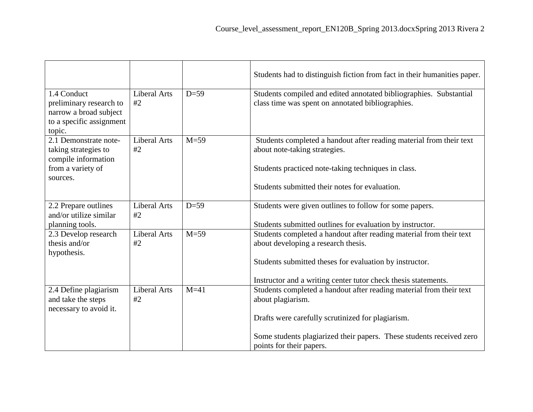|                                                                                                        |                                     |          | Students had to distinguish fiction from fact in their humanities paper.                                                                                                                                                                |  |
|--------------------------------------------------------------------------------------------------------|-------------------------------------|----------|-----------------------------------------------------------------------------------------------------------------------------------------------------------------------------------------------------------------------------------------|--|
| 1.4 Conduct<br>preliminary research to<br>narrow a broad subject<br>to a specific assignment<br>topic. | <b>Liberal Arts</b><br>#2           | $D=59$   | Students compiled and edited annotated bibliographies. Substantial<br>class time was spent on annotated bibliographies.                                                                                                                 |  |
| 2.1 Demonstrate note-<br>taking strategies to<br>compile information<br>from a variety of<br>sources.  | <b>Liberal Arts</b><br>#2           | $M = 59$ | Students completed a handout after reading material from their text<br>about note-taking strategies.<br>Students practiced note-taking techniques in class.                                                                             |  |
|                                                                                                        |                                     |          | Students submitted their notes for evaluation.                                                                                                                                                                                          |  |
| 2.2 Prepare outlines<br>and/or utilize similar<br>planning tools.                                      | <b>Liberal Arts</b><br>#2           | $D=59$   | Students were given outlines to follow for some papers.<br>Students submitted outlines for evaluation by instructor.                                                                                                                    |  |
| 2.3 Develop research<br>thesis and/or<br>hypothesis.                                                   | <b>Liberal Arts</b><br>#2           | $M=59$   | Students completed a handout after reading material from their text<br>about developing a research thesis.<br>Students submitted theses for evaluation by instructor.<br>Instructor and a writing center tutor check thesis statements. |  |
| 2.4 Define plagiarism<br>and take the steps<br>necessary to avoid it.                                  | $M=41$<br><b>Liberal Arts</b><br>#2 |          | Students completed a handout after reading material from their text<br>about plagiarism.                                                                                                                                                |  |
|                                                                                                        |                                     |          | Drafts were carefully scrutinized for plagiarism.<br>Some students plagiarized their papers. These students received zero<br>points for their papers.                                                                                   |  |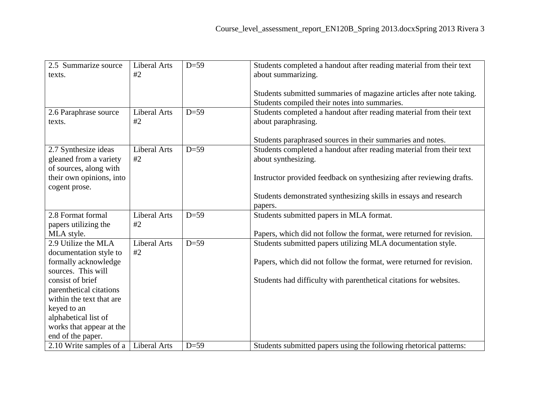| 2.5 Summarize source                                | <b>Liberal Arts</b> | $D=59$ | Students completed a handout after reading material from their text  |  |
|-----------------------------------------------------|---------------------|--------|----------------------------------------------------------------------|--|
| texts.                                              | #2                  |        | about summarizing.                                                   |  |
|                                                     |                     |        | Students submitted summaries of magazine articles after note taking. |  |
|                                                     |                     |        | Students compiled their notes into summaries.                        |  |
| 2.6 Paraphrase source                               | <b>Liberal Arts</b> | $D=59$ | Students completed a handout after reading material from their text  |  |
| texts.                                              | #2                  |        | about paraphrasing.                                                  |  |
|                                                     |                     |        |                                                                      |  |
|                                                     |                     |        | Students paraphrased sources in their summaries and notes.           |  |
| 2.7 Synthesize ideas                                | <b>Liberal Arts</b> | $D=59$ | Students completed a handout after reading material from their text  |  |
| gleaned from a variety                              | #2                  |        | about synthesizing.                                                  |  |
| of sources, along with                              |                     |        |                                                                      |  |
| their own opinions, into                            |                     |        | Instructor provided feedback on synthesizing after reviewing drafts. |  |
| cogent prose.                                       |                     |        | Students demonstrated synthesizing skills in essays and research     |  |
|                                                     |                     |        | papers.                                                              |  |
| 2.8 Format formal                                   | <b>Liberal Arts</b> | $D=59$ | Students submitted papers in MLA format.                             |  |
| papers utilizing the                                | #2                  |        |                                                                      |  |
| MLA style.                                          |                     |        | Papers, which did not follow the format, were returned for revision. |  |
| 2.9 Utilize the MLA                                 | <b>Liberal Arts</b> | $D=59$ | Students submitted papers utilizing MLA documentation style.         |  |
| documentation style to                              | #2                  |        |                                                                      |  |
| formally acknowledge                                |                     |        | Papers, which did not follow the format, were returned for revision. |  |
| sources. This will                                  |                     |        |                                                                      |  |
| consist of brief                                    |                     |        | Students had difficulty with parenthetical citations for websites.   |  |
| parenthetical citations<br>within the text that are |                     |        |                                                                      |  |
| keyed to an                                         |                     |        |                                                                      |  |
| alphabetical list of                                |                     |        |                                                                      |  |
| works that appear at the                            |                     |        |                                                                      |  |
| end of the paper.                                   |                     |        |                                                                      |  |
| 2.10 Write samples of a                             | <b>Liberal Arts</b> | $D=59$ | Students submitted papers using the following rhetorical patterns:   |  |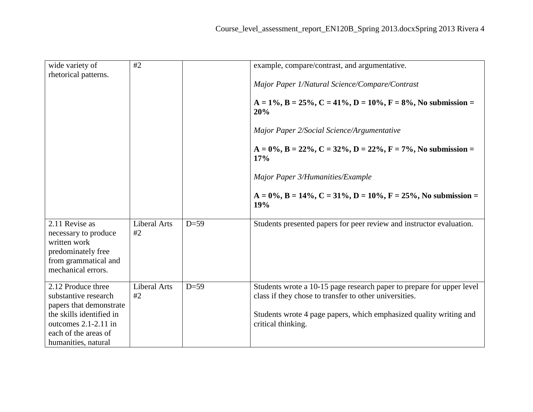| wide variety of<br>rhetorical patterns.                                                                                                                                      | #2                        |        | example, compare/contrast, and argumentative.<br>Major Paper 1/Natural Science/Compare/Contrast<br>$A = 1\%, B = 25\%, C = 41\%, D = 10\%, F = 8\%, No submission =$<br>20%<br>Major Paper 2/Social Science/Argumentative   |  |
|------------------------------------------------------------------------------------------------------------------------------------------------------------------------------|---------------------------|--------|-----------------------------------------------------------------------------------------------------------------------------------------------------------------------------------------------------------------------------|--|
|                                                                                                                                                                              |                           |        | $A = 0\%, B = 22\%, C = 32\%, D = 22\%, F = 7\%, No \text{ submission} =$<br>17%<br>Major Paper 3/Humanities/Example<br>$A = 0\%$ , $B = 14\%$ , $C = 31\%$ , $D = 10\%$ , $F = 25\%$ , No submission =<br>19%              |  |
| 2.11 Revise as<br>necessary to produce<br>written work<br>predominately free<br>from grammatical and<br>mechanical errors.                                                   | Liberal Arts<br>#2        | $D=59$ | Students presented papers for peer review and instructor evaluation.                                                                                                                                                        |  |
| 2.12 Produce three<br>substantive research<br>papers that demonstrate<br>the skills identified in<br>outcomes $2.1 - 2.11$ in<br>each of the areas of<br>humanities, natural | <b>Liberal Arts</b><br>#2 | $D=59$ | Students wrote a 10-15 page research paper to prepare for upper level<br>class if they chose to transfer to other universities.<br>Students wrote 4 page papers, which emphasized quality writing and<br>critical thinking. |  |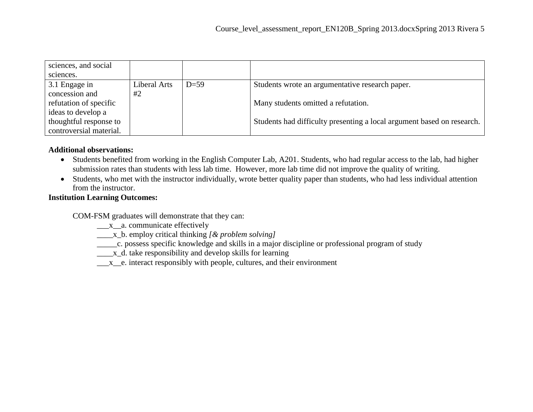| sciences, and social    |              |        |                                                                        |
|-------------------------|--------------|--------|------------------------------------------------------------------------|
| sciences.               |              |        |                                                                        |
| 3.1 Engage in           | Liberal Arts | $D=59$ | Students wrote an argumentative research paper.                        |
| concession and          | #2           |        |                                                                        |
| refutation of specific  |              |        | Many students omitted a refutation.                                    |
| ideas to develop a      |              |        |                                                                        |
| thoughtful response to  |              |        | Students had difficulty presenting a local argument based on research. |
| controversial material. |              |        |                                                                        |

## **Additional observations:**

- Students benefited from working in the English Computer Lab, A201. Students, who had regular access to the lab, had higher submission rates than students with less lab time. However, more lab time did not improve the quality of writing.
- Students, who met with the instructor individually, wrote better quality paper than students, who had less individual attention from the instructor.

## **Institution Learning Outcomes:**

COM-FSM graduates will demonstrate that they can:

- \_\_\_x\_a. communicate effectively
- \_\_\_\_x\_b. employ critical thinking *[& problem solving]*
- \_\_\_\_\_c. possess specific knowledge and skills in a major discipline or professional program of study
- \_\_\_\_\_x\_d. take responsibility and develop skills for learning
- $\underline{\hspace{1cm}}$   $x$   $\overline{\hspace{1cm}}$  e. interact responsibly with people, cultures, and their environment